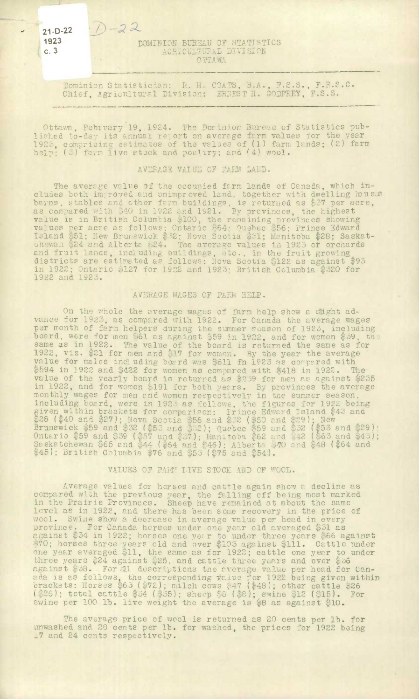$21-D-22$ 1923  $c.3$ 

 $-22$ 

# DOMINION BUREAU OF STATISTICS AGRICULTURAL DIVISION

Dominion Statistician: R. H. COATS, B.A., F.S.S., F.R.S.C.<br>Chief, Agricultural Division: ERNFST H. GODFREY, F.S.S.

Ottawa, February 19, 1924. The Dominion Bureau of Statistics published to-day its annual report on average farm values for the year<br>1923, comprising estimates of the values of (1) farm lands; (2) farm<br>help; (3) farm live stock and poultry; and (4) wool.

#### AVERAGE VALUE OF FARM LAND.

The average value of the occupied farm lands of Canada, which in-<br>cludes both improved and unimproved land, together with dwelling house<br>barns, stables and other farm buildings, is returned as \$27 per acre,<br>as compared wit as compared with \$40 in 1922 and 1921. By provinces, the aignest<br>value is in British Columbia \$100, the remaining provinces showing<br>values per acre as follows: Ontario \$64; Quebec \$56; Prince Edward<br>Island \$51; New Brunswi 1922 and 1923.

## AVERAGE WAGES OF FARM HELP.

On the whole the average wages of farm help show a slight advance for 1923, as compared with 1922. For Canada the average wages per month of farm helpers during the summer season of 1923, including board, were for men \$61 as against \$59 in 1922, and for women \$59, the same as in 1922. The value of the board is returned the same as for 1922, viz. \$21 for men and \$17 for women. By the year the average value for males i \$594 in 1922 and \$422 for women as compared with \$418 in 1922. The \$594 in 1922 and \$422 for women as compared with \$418 in 1922. The value of the yearly board is returned as \$239 for men as against \$235 in 1922, and for women \$191 for both years. By provinces the average monthly wages fo

## VALUES OF FARM LIVE STOCK AND OF WOOL.

Average values for horses and cattle again show a decline as compared with the previous year, the falling off being most marked in the Prairie Provinces. Sheep have remained at about the same level as in 1922, and there has been some recovery in the price of wool. Swine show a decrease in average value per head in every wool. Swine show a decrease in average value per head in every<br>province. For Canada horses under one year old averaged \$31 as<br>against \$34 in 1922; horses one year to under three years \$66 against<br>\$70; horses three years ol

The average price of wool is returned as 20 cents per 1b. for unwashed and 28 cents per 1b. for washed, the prices for 1922 being 17 and 24 cents respectively.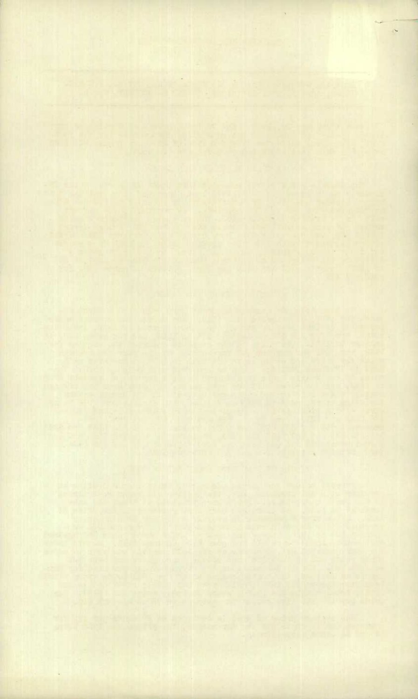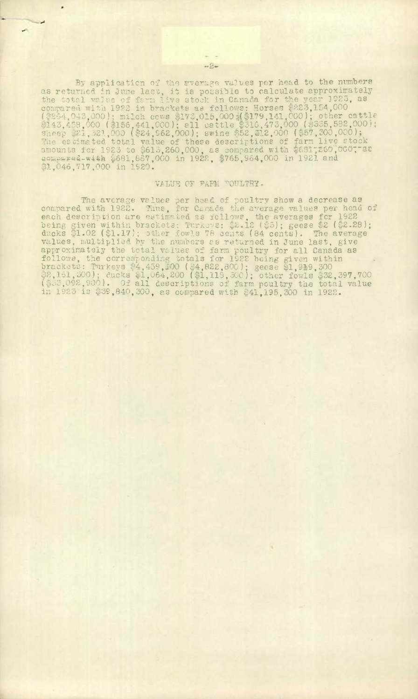By application of the average values per head to the numbers By application of the average values per head to the numbers<br>as returned in June last, it is possible to calculate approximately<br>the total value of farm live stock in Canada for the year 1923, as<br>(2254,043,000); milch cows

#### VALUE OF FARM POULTRY.

The average values per head of poultry show a decrease as<br>compared with 1922. Thus, for Canada the average values per head of<br>each description are estimated as follows, the averages for 1922<br>being given within brackets: Tu

 $\ddot{\phantom{1}}$